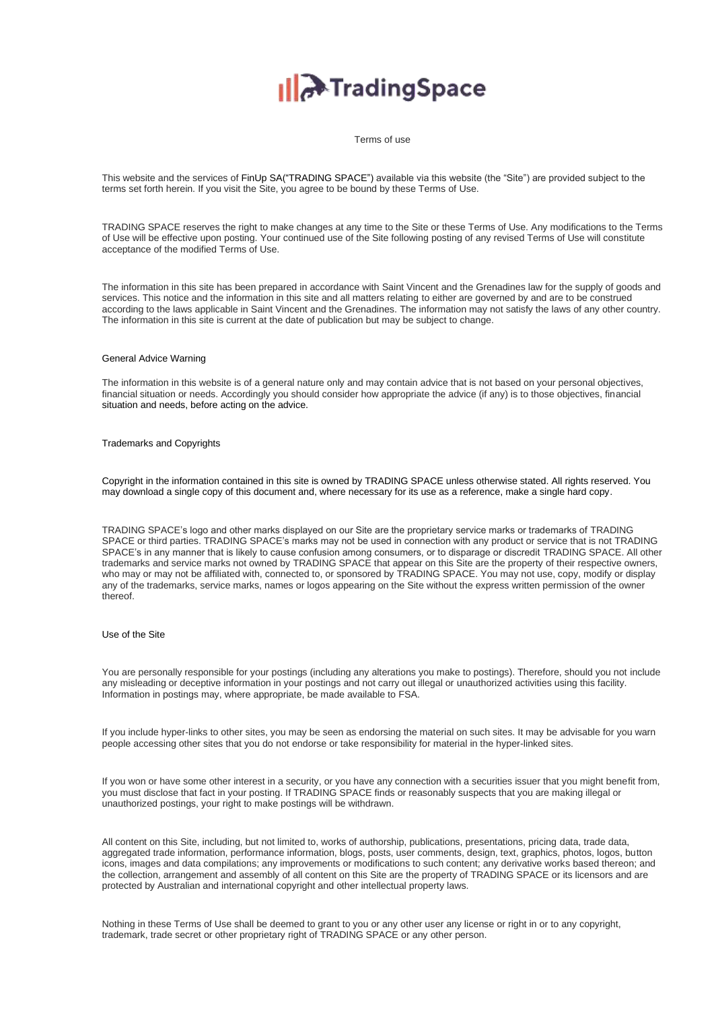# **A**TradingSpace

Terms of use

This website and the services of FinUp SA("TRADING SPACE") available via this website (the "Site") are provided subject to the terms set forth herein. If you visit the Site, you agree to be bound by these Terms of Use.

TRADING SPACE reserves the right to make changes at any time to the Site or these Terms of Use. Any modifications to the Terms of Use will be effective upon posting. Your continued use of the Site following posting of any revised Terms of Use will constitute acceptance of the modified Terms of Use.

The information in this site has been prepared in accordance with Saint Vincent and the Grenadines law for the supply of goods and services. This notice and the information in this site and all matters relating to either are governed by and are to be construed according to the laws applicable in Saint Vincent and the Grenadines. The information may not satisfy the laws of any other country. The information in this site is current at the date of publication but may be subject to change.

#### General Advice Warning

The information in this website is of a general nature only and may contain advice that is not based on your personal objectives, financial situation or needs. Accordingly you should consider how appropriate the advice (if any) is to those objectives, financial situation and needs, before acting on the advice.

#### Trademarks and Copyrights

Copyright in the information contained in this site is owned by TRADING SPACE unless otherwise stated. All rights reserved. You may download a single copy of this document and, where necessary for its use as a reference, make a single hard copy.

TRADING SPACE's logo and other marks displayed on our Site are the proprietary service marks or trademarks of TRADING SPACE or third parties. TRADING SPACE's marks may not be used in connection with any product or service that is not TRADING SPACE's in any manner that is likely to cause confusion among consumers, or to disparage or discredit TRADING SPACE. All other trademarks and service marks not owned by TRADING SPACE that appear on this Site are the property of their respective owners, who may or may not be affiliated with, connected to, or sponsored by TRADING SPACE. You may not use, copy, modify or display any of the trademarks, service marks, names or logos appearing on the Site without the express written permission of the owner thereof.

## Use of the Site

You are personally responsible for your postings (including any alterations you make to postings). Therefore, should you not include any misleading or deceptive information in your postings and not carry out illegal or unauthorized activities using this facility. Information in postings may, where appropriate, be made available to FSA.

If you include hyper-links to other sites, you may be seen as endorsing the material on such sites. It may be advisable for you warn people accessing other sites that you do not endorse or take responsibility for material in the hyper-linked sites.

If you won or have some other interest in a security, or you have any connection with a securities issuer that you might benefit from, you must disclose that fact in your posting. If TRADING SPACE finds or reasonably suspects that you are making illegal or unauthorized postings, your right to make postings will be withdrawn.

All content on this Site, including, but not limited to, works of authorship, publications, presentations, pricing data, trade data, aggregated trade information, performance information, blogs, posts, user comments, design, text, graphics, photos, logos, button icons, images and data compilations; any improvements or modifications to such content; any derivative works based thereon; and the collection, arrangement and assembly of all content on this Site are the property of TRADING SPACE or its licensors and are protected by Australian and international copyright and other intellectual property laws.

Nothing in these Terms of Use shall be deemed to grant to you or any other user any license or right in or to any copyright, trademark, trade secret or other proprietary right of TRADING SPACE or any other person.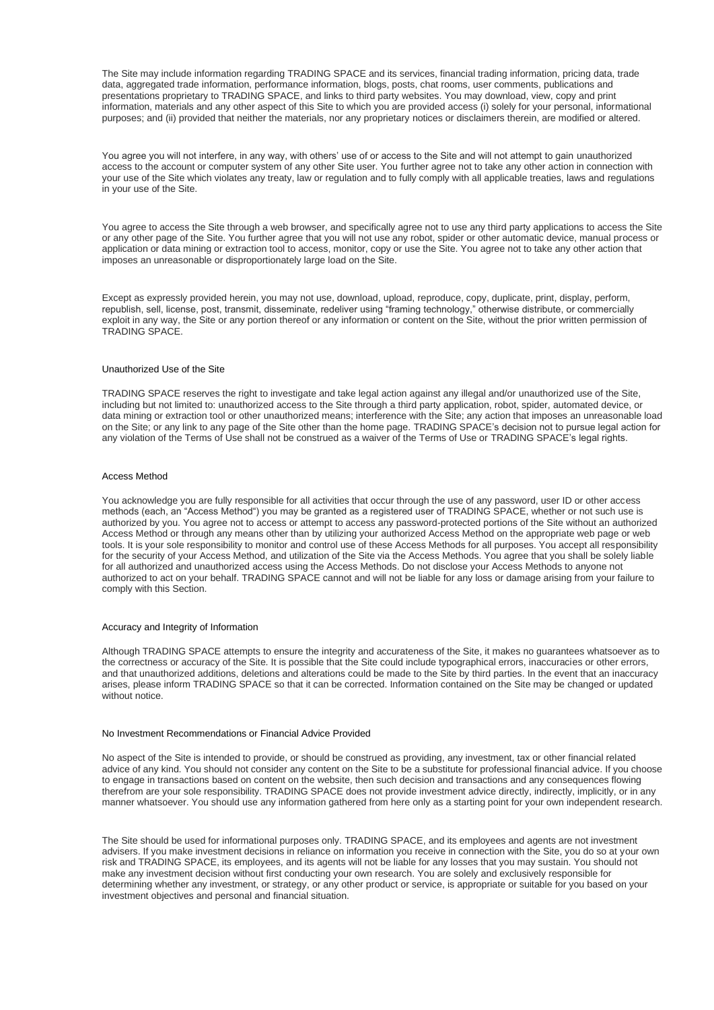The Site may include information regarding TRADING SPACE and its services, financial trading information, pricing data, trade data, aggregated trade information, performance information, blogs, posts, chat rooms, user comments, publications and presentations proprietary to TRADING SPACE, and links to third party websites. You may download, view, copy and print information, materials and any other aspect of this Site to which you are provided access (i) solely for your personal, informational purposes; and (ii) provided that neither the materials, nor any proprietary notices or disclaimers therein, are modified or altered.

You agree you will not interfere, in any way, with others' use of or access to the Site and will not attempt to gain unauthorized access to the account or computer system of any other Site user. You further agree not to take any other action in connection with your use of the Site which violates any treaty, law or regulation and to fully comply with all applicable treaties, laws and regulations in your use of the Site.

You agree to access the Site through a web browser, and specifically agree not to use any third party applications to access the Site or any other page of the Site. You further agree that you will not use any robot, spider or other automatic device, manual process or application or data mining or extraction tool to access, monitor, copy or use the Site. You agree not to take any other action that imposes an unreasonable or disproportionately large load on the Site.

Except as expressly provided herein, you may not use, download, upload, reproduce, copy, duplicate, print, display, perform, republish, sell, license, post, transmit, disseminate, redeliver using "framing technology," otherwise distribute, or commercially exploit in any way, the Site or any portion thereof or any information or content on the Site, without the prior written permission of TRADING SPACE.

## Unauthorized Use of the Site

TRADING SPACE reserves the right to investigate and take legal action against any illegal and/or unauthorized use of the Site, including but not limited to: unauthorized access to the Site through a third party application, robot, spider, automated device, or data mining or extraction tool or other unauthorized means; interference with the Site; any action that imposes an unreasonable load on the Site; or any link to any page of the Site other than the home page. TRADING SPACE's decision not to pursue legal action for any violation of the Terms of Use shall not be construed as a waiver of the Terms of Use or TRADING SPACE's legal rights.

## Access Method

You acknowledge you are fully responsible for all activities that occur through the use of any password, user ID or other access methods (each, an "Access Method") you may be granted as a registered user of TRADING SPACE, whether or not such use is authorized by you. You agree not to access or attempt to access any password-protected portions of the Site without an authorized Access Method or through any means other than by utilizing your authorized Access Method on the appropriate web page or web tools. It is your sole responsibility to monitor and control use of these Access Methods for all purposes. You accept all responsibility for the security of your Access Method, and utilization of the Site via the Access Methods. You agree that you shall be solely liable for all authorized and unauthorized access using the Access Methods. Do not disclose your Access Methods to anyone not authorized to act on your behalf. TRADING SPACE cannot and will not be liable for any loss or damage arising from your failure to comply with this Section.

## Accuracy and Integrity of Information

Although TRADING SPACE attempts to ensure the integrity and accurateness of the Site, it makes no guarantees whatsoever as to the correctness or accuracy of the Site. It is possible that the Site could include typographical errors, inaccuracies or other errors, and that unauthorized additions, deletions and alterations could be made to the Site by third parties. In the event that an inaccuracy arises, please inform TRADING SPACE so that it can be corrected. Information contained on the Site may be changed or updated without notice.

#### No Investment Recommendations or Financial Advice Provided

No aspect of the Site is intended to provide, or should be construed as providing, any investment, tax or other financial related advice of any kind. You should not consider any content on the Site to be a substitute for professional financial advice. If you choose to engage in transactions based on content on the website, then such decision and transactions and any consequences flowing therefrom are your sole responsibility. TRADING SPACE does not provide investment advice directly, indirectly, implicitly, or in any manner whatsoever. You should use any information gathered from here only as a starting point for your own independent research.

The Site should be used for informational purposes only. TRADING SPACE, and its employees and agents are not investment advisers. If you make investment decisions in reliance on information you receive in connection with the Site, you do so at your own risk and TRADING SPACE, its employees, and its agents will not be liable for any losses that you may sustain. You should not make any investment decision without first conducting your own research. You are solely and exclusively responsible for determining whether any investment, or strategy, or any other product or service, is appropriate or suitable for you based on your investment objectives and personal and financial situation.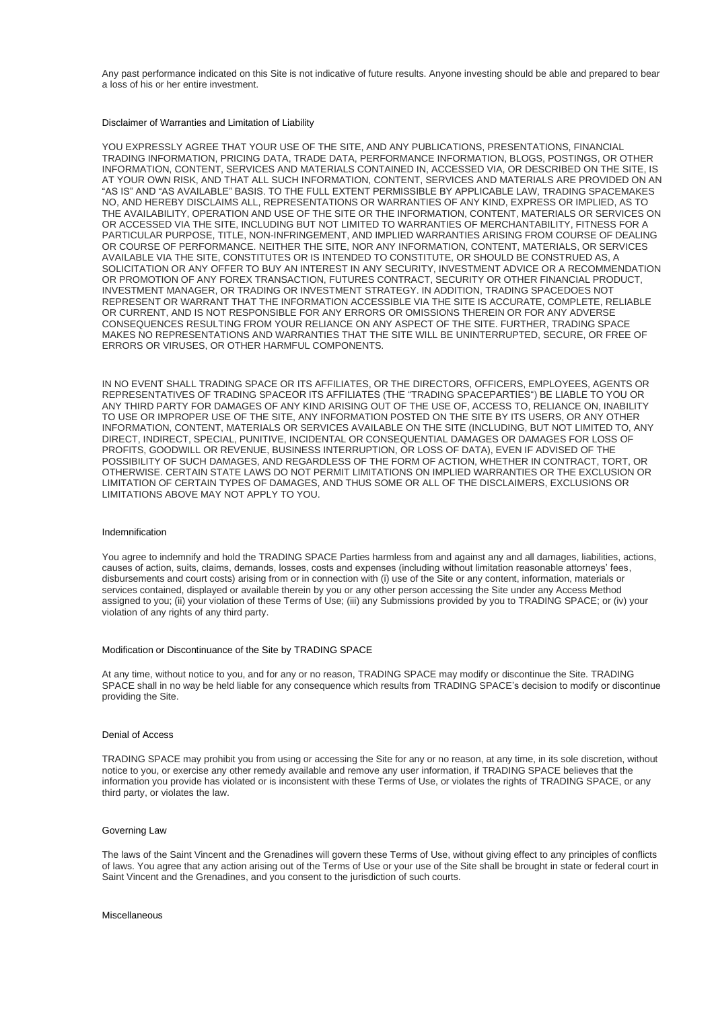Any past performance indicated on this Site is not indicative of future results. Anyone investing should be able and prepared to bear a loss of his or her entire investment.

## Disclaimer of Warranties and Limitation of Liability

YOU EXPRESSLY AGREE THAT YOUR USE OF THE SITE, AND ANY PUBLICATIONS, PRESENTATIONS, FINANCIAL TRADING INFORMATION, PRICING DATA, TRADE DATA, PERFORMANCE INFORMATION, BLOGS, POSTINGS, OR OTHER INFORMATION, CONTENT, SERVICES AND MATERIALS CONTAINED IN, ACCESSED VIA, OR DESCRIBED ON THE SITE, IS AT YOUR OWN RISK, AND THAT ALL SUCH INFORMATION, CONTENT, SERVICES AND MATERIALS ARE PROVIDED ON AN "AS IS" AND "AS AVAILABLE" BASIS. TO THE FULL EXTENT PERMISSIBLE BY APPLICABLE LAW, TRADING SPACEMAKES NO, AND HEREBY DISCLAIMS ALL, REPRESENTATIONS OR WARRANTIES OF ANY KIND, EXPRESS OR IMPLIED, AS TO THE AVAILABILITY, OPERATION AND USE OF THE SITE OR THE INFORMATION, CONTENT, MATERIALS OR SERVICES ON OR ACCESSED VIA THE SITE, INCLUDING BUT NOT LIMITED TO WARRANTIES OF MERCHANTABILITY, FITNESS FOR A PARTICULAR PURPOSE, TITLE, NON-INFRINGEMENT, AND IMPLIED WARRANTIES ARISING FROM COURSE OF DEALING OR COURSE OF PERFORMANCE. NEITHER THE SITE, NOR ANY INFORMATION, CONTENT, MATERIALS, OR SERVICES AVAILABLE VIA THE SITE, CONSTITUTES OR IS INTENDED TO CONSTITUTE, OR SHOULD BE CONSTRUED AS, A SOLICITATION OR ANY OFFER TO BUY AN INTEREST IN ANY SECURITY, INVESTMENT ADVICE OR A RECOMMENDATION OR PROMOTION OF ANY FOREX TRANSACTION, FUTURES CONTRACT, SECURITY OR OTHER FINANCIAL PRODUCT, INVESTMENT MANAGER, OR TRADING OR INVESTMENT STRATEGY. IN ADDITION, TRADING SPACEDOES NOT REPRESENT OR WARRANT THAT THE INFORMATION ACCESSIBLE VIA THE SITE IS ACCURATE, COMPLETE, RELIABLE OR CURRENT, AND IS NOT RESPONSIBLE FOR ANY ERRORS OR OMISSIONS THEREIN OR FOR ANY ADVERSE CONSEQUENCES RESULTING FROM YOUR RELIANCE ON ANY ASPECT OF THE SITE. FURTHER, TRADING SPACE MAKES NO REPRESENTATIONS AND WARRANTIES THAT THE SITE WILL BE UNINTERRUPTED, SECURE, OR FREE OF ERRORS OR VIRUSES, OR OTHER HARMFUL COMPONENTS.

IN NO EVENT SHALL TRADING SPACE OR ITS AFFILIATES, OR THE DIRECTORS, OFFICERS, EMPLOYEES, AGENTS OR REPRESENTATIVES OF TRADING SPACEOR ITS AFFILIATES (THE "TRADING SPACEPARTIES") BE LIABLE TO YOU OR ANY THIRD PARTY FOR DAMAGES OF ANY KIND ARISING OUT OF THE USE OF, ACCESS TO, RELIANCE ON, INABILITY TO USE OR IMPROPER USE OF THE SITE, ANY INFORMATION POSTED ON THE SITE BY ITS USERS, OR ANY OTHER INFORMATION, CONTENT, MATERIALS OR SERVICES AVAILABLE ON THE SITE (INCLUDING, BUT NOT LIMITED TO, ANY DIRECT, INDIRECT, SPECIAL, PUNITIVE, INCIDENTAL OR CONSEQUENTIAL DAMAGES OR DAMAGES FOR LOSS OF PROFITS, GOODWILL OR REVENUE, BUSINESS INTERRUPTION, OR LOSS OF DATA), EVEN IF ADVISED OF THE POSSIBILITY OF SUCH DAMAGES, AND REGARDLESS OF THE FORM OF ACTION, WHETHER IN CONTRACT, TORT, OR OTHERWISE. CERTAIN STATE LAWS DO NOT PERMIT LIMITATIONS ON IMPLIED WARRANTIES OR THE EXCLUSION OR LIMITATION OF CERTAIN TYPES OF DAMAGES, AND THUS SOME OR ALL OF THE DISCLAIMERS, EXCLUSIONS OR LIMITATIONS ABOVE MAY NOT APPLY TO YOU.

#### Indemnification

You agree to indemnify and hold the TRADING SPACE Parties harmless from and against any and all damages, liabilities, actions, causes of action, suits, claims, demands, losses, costs and expenses (including without limitation reasonable attorneys' fees, disbursements and court costs) arising from or in connection with (i) use of the Site or any content, information, materials or services contained, displayed or available therein by you or any other person accessing the Site under any Access Method assigned to you; (ii) your violation of these Terms of Use; (iii) any Submissions provided by you to TRADING SPACE; or (iv) your violation of any rights of any third party.

## Modification or Discontinuance of the Site by TRADING SPACE

At any time, without notice to you, and for any or no reason, TRADING SPACE may modify or discontinue the Site. TRADING SPACE shall in no way be held liable for any consequence which results from TRADING SPACE's decision to modify or discontinue providing the Site.

## Denial of Access

TRADING SPACE may prohibit you from using or accessing the Site for any or no reason, at any time, in its sole discretion, without notice to you, or exercise any other remedy available and remove any user information, if TRADING SPACE believes that the information you provide has violated or is inconsistent with these Terms of Use, or violates the rights of TRADING SPACE, or any third party, or violates the law.

#### Governing Law

The laws of the Saint Vincent and the Grenadines will govern these Terms of Use, without giving effect to any principles of conflicts of laws. You agree that any action arising out of the Terms of Use or your use of the Site shall be brought in state or federal court in Saint Vincent and the Grenadines, and you consent to the jurisdiction of such courts.

#### **Miscellaneous**